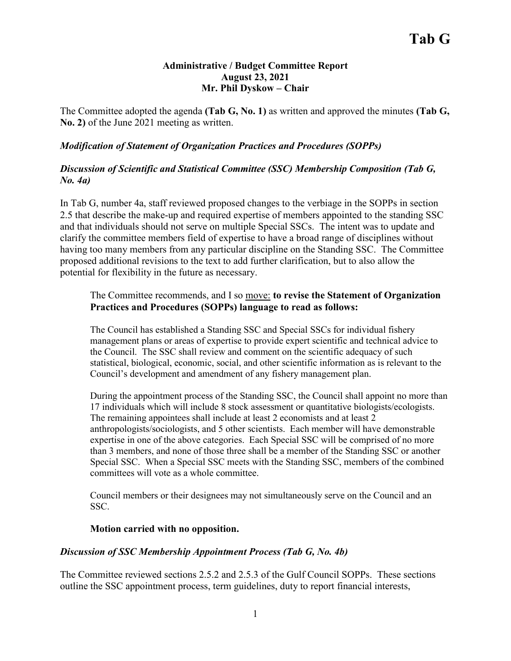#### **Administrative / Budget Committee Report August 23, 2021 Mr. Phil Dyskow – Chair**

The Committee adopted the agenda **(Tab G, No. 1)** as written and approved the minutes **(Tab G, No. 2)** of the June 2021 meeting as written.

## *Modification of Statement of Organization Practices and Procedures (SOPPs)*

## *Discussion of Scientific and Statistical Committee (SSC) Membership Composition (Tab G, No. 4a)*

In Tab G, number 4a, staff reviewed proposed changes to the verbiage in the SOPPs in section 2.5 that describe the make-up and required expertise of members appointed to the standing SSC and that individuals should not serve on multiple Special SSCs. The intent was to update and clarify the committee members field of expertise to have a broad range of disciplines without having too many members from any particular discipline on the Standing SSC. The Committee proposed additional revisions to the text to add further clarification, but to also allow the potential for flexibility in the future as necessary.

## The Committee recommends, and I so move: **to revise the Statement of Organization Practices and Procedures (SOPPs) language to read as follows:**

The Council has established a Standing SSC and Special SSCs for individual fishery management plans or areas of expertise to provide expert scientific and technical advice to the Council. The SSC shall review and comment on the scientific adequacy of such statistical, biological, economic, social, and other scientific information as is relevant to the Council's development and amendment of any fishery management plan.

During the appointment process of the Standing SSC, the Council shall appoint no more than 17 individuals which will include 8 stock assessment or quantitative biologists/ecologists. The remaining appointees shall include at least 2 economists and at least 2 anthropologists/sociologists, and 5 other scientists. Each member will have demonstrable expertise in one of the above categories. Each Special SSC will be comprised of no more than 3 members, and none of those three shall be a member of the Standing SSC or another Special SSC. When a Special SSC meets with the Standing SSC, members of the combined committees will vote as a whole committee.

Council members or their designees may not simultaneously serve on the Council and an SSC.

#### **Motion carried with no opposition.**

#### *Discussion of SSC Membership Appointment Process (Tab G, No. 4b)*

The Committee reviewed sections 2.5.2 and 2.5.3 of the Gulf Council SOPPs. These sections outline the SSC appointment process, term guidelines, duty to report financial interests,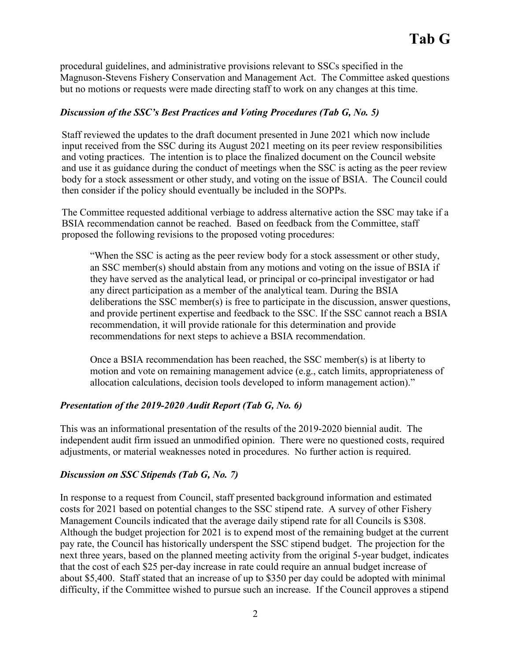procedural guidelines, and administrative provisions relevant to SSCs specified in the Magnuson-Stevens Fishery Conservation and Management Act. The Committee asked questions but no motions or requests were made directing staff to work on any changes at this time.

# *Discussion of the SSC's Best Practices and Voting Procedures (Tab G, No. 5)*

Staff reviewed the updates to the draft document presented in June 2021 which now include input received from the SSC during its August 2021 meeting on its peer review responsibilities and voting practices. The intention is to place the finalized document on the Council website and use it as guidance during the conduct of meetings when the SSC is acting as the peer review body for a stock assessment or other study, and voting on the issue of BSIA. The Council could then consider if the policy should eventually be included in the SOPPs.

The Committee requested additional verbiage to address alternative action the SSC may take if a BSIA recommendation cannot be reached. Based on feedback from the Committee, staff proposed the following revisions to the proposed voting procedures:

"When the SSC is acting as the peer review body for a stock assessment or other study, an SSC member(s) should abstain from any motions and voting on the issue of BSIA if they have served as the analytical lead, or principal or co-principal investigator or had any direct participation as a member of the analytical team. During the BSIA deliberations the SSC member(s) is free to participate in the discussion, answer questions, and provide pertinent expertise and feedback to the SSC. If the SSC cannot reach a BSIA recommendation, it will provide rationale for this determination and provide recommendations for next steps to achieve a BSIA recommendation.

Once a BSIA recommendation has been reached, the SSC member(s) is at liberty to motion and vote on remaining management advice (e.g., catch limits, appropriateness of allocation calculations, decision tools developed to inform management action)."

# *Presentation of the 2019-2020 Audit Report (Tab G, No. 6)*

This was an informational presentation of the results of the 2019-2020 biennial audit. The independent audit firm issued an unmodified opinion. There were no questioned costs, required adjustments, or material weaknesses noted in procedures. No further action is required.

# *Discussion on SSC Stipends (Tab G, No. 7)*

In response to a request from Council, staff presented background information and estimated costs for 2021 based on potential changes to the SSC stipend rate. A survey of other Fishery Management Councils indicated that the average daily stipend rate for all Councils is \$308. Although the budget projection for 2021 is to expend most of the remaining budget at the current pay rate, the Council has historically underspent the SSC stipend budget. The projection for the next three years, based on the planned meeting activity from the original 5-year budget, indicates that the cost of each \$25 per-day increase in rate could require an annual budget increase of about \$5,400. Staff stated that an increase of up to \$350 per day could be adopted with minimal difficulty, if the Committee wished to pursue such an increase. If the Council approves a stipend